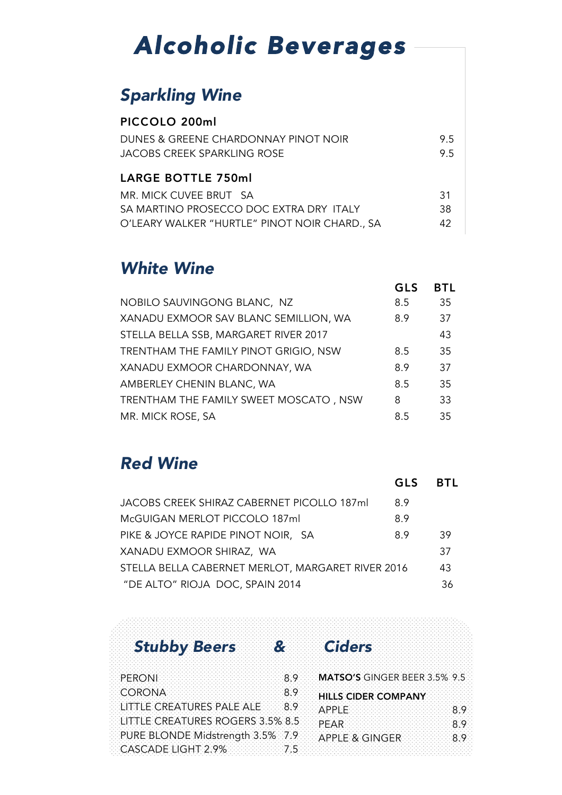# *Alcoholic Beverages*

#### *Sparkling Wine*

| PICCOLO 200ml                           |     |
|-----------------------------------------|-----|
| DUNES & GREENE CHARDONNAY PINOT NOIR    | 9.5 |
| JACOBS CREEK SPARKLING ROSE             | 9.5 |
| <b>LARGE BOTTLE 750ml</b>               |     |
| MR. MICK CUVEE BRUT SA                  | 31  |
|                                         |     |
| SA MARTINO PROSECCO DOC EXTRA DRY ITALY | 38  |

#### *White Wine*

|                                        | <b>GLS</b> | <b>BTL</b> |
|----------------------------------------|------------|------------|
| NOBILO SAUVINGONG BLANC, NZ            | 8.5        | 35         |
| XANADU EXMOOR SAV BLANC SEMILLION, WA  | 8.9        | 37         |
| STELLA BELLA SSB, MARGARET RIVER 2017  |            | 43         |
| TRENTHAM THE FAMILY PINOT GRIGIO, NSW  | 8.5        | 35         |
| XANADU EXMOOR CHARDONNAY, WA           | 8.9        | 37         |
| AMBERLEY CHENIN BLANC, WA              | 8.5        | 35         |
| TRENTHAM THE FAMILY SWEET MOSCATO, NSW | 8          | 33         |
| MR. MICK ROSE, SA                      | 8.5        | 35         |

#### *Red Wine*

|                                                   | GLS | <b>BTL</b> |
|---------------------------------------------------|-----|------------|
| JACOBS CREEK SHIRAZ CABERNET PICOLLO 187ml        | 8.9 |            |
| McGUIGAN MERLOT PICCOLO 187ml                     | 8.9 |            |
| PIKE & JOYCE RAPIDE PINOT NOIR, SA                | 8.9 | 39         |
| XANADU EXMOOR SHIRAZ, WA                          |     | 37         |
| STELLA BELLA CABERNET MERLOT, MARGARET RIVER 2016 |     | 43         |
| "DE ALTO" RIOJA DOC, SPAIN 2014                   |     | 36         |

### *Stubby Beers & Ciders*

| PERON                            | MATSO'S GINGER BEER 3.5% 9.5 |    |
|----------------------------------|------------------------------|----|
| CORONA                           | <b>HILLS CIDER COMPANY</b>   |    |
| LITTLE CREATURES PALE ALE 8.9    | ∴∆PPL                        | -9 |
| LITTLE CREATURES ROGERS 3.5% 8.5 | PFAR                         |    |
| PURE BLONDE Midstrength 3.5% 7.9 | APPLE & GINGER               |    |
| CASCADE LIGHT 2.9%               |                              |    |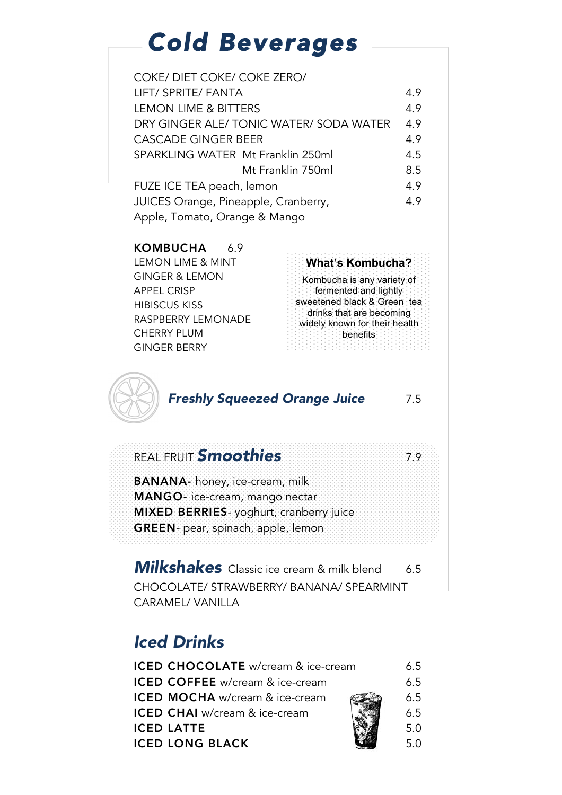# *Cold Beverages*

| COKE/ DIET COKE/ COKE ZERO/             |     |  |
|-----------------------------------------|-----|--|
| LIFT/ SPRITE/ FANTA                     | 4.9 |  |
| <b>LEMON LIME &amp; BITTERS</b>         | 4.9 |  |
| DRY GINGER ALE/ TONIC WATER/ SODA WATER | 4.9 |  |
| <b>CASCADE GINGER BEER</b>              | 4.9 |  |
| SPARKLING WATER Mt Franklin 250ml       | 4.5 |  |
| Mt Franklin 750ml                       | 8.5 |  |
| FUZE ICE TEA peach, lemon               | 4.9 |  |
| JUICES Orange, Pineapple, Cranberry,    | 4.9 |  |
| Apple, Tomato, Orange & Mango           |     |  |

#### KOMBUCHA 6.9

| NUIVIDUUI IA         |                                                             |
|----------------------|-------------------------------------------------------------|
| LEMON LIME & MINT    | <b>What's Kombucha?</b>                                     |
| GINGER & LEMON       | Kombucha is any variety of                                  |
| <b>APPEL CRISP</b>   | $\therefore$ fermented and lightly:                         |
| <b>HIBISCUS KISS</b> | sweetened black & Green tea.                                |
| RASPBERRY LEMONADE   | drinks that are becoming:<br>widely known for their health. |
| <b>CHERRY PLUM</b>   | <b>Alternative Seriefits:</b>                               |
| <b>GINGER BERRY</b>  |                                                             |
|                      |                                                             |



#### *Freshly Squeezed Orange Juice* 7.5

#### REAL FRUIT *Smoothies* 7.9

BANANA- honey, ice-cream, milk MANGO- ice-cream, mango nectar MIXED BERRIES- yoghurt, cranberry juice GREEN- pear, spinach, apple, lemon

**Milkshakes** Classic ice cream & milk blend 6.5 CHOCOLATE/ STRAWBERRY/ BANANA/ SPEARMINT CARAMEL/ VANILLA

### *Iced Drinks*

| ICED CHOCOLATE w/cream & ice-cream     | 6.5 |
|----------------------------------------|-----|
| <b>ICED COFFEE</b> w/cream & ice-cream | 6.5 |
| <b>ICED MOCHA</b> w/cream & ice-cream  | 6.5 |
| ICED CHAI w/cream & ice-cream          | 6.5 |
| <b>ICED LATTE</b>                      | 5.0 |
| <b>ICED LONG BLACK</b>                 | 5.0 |